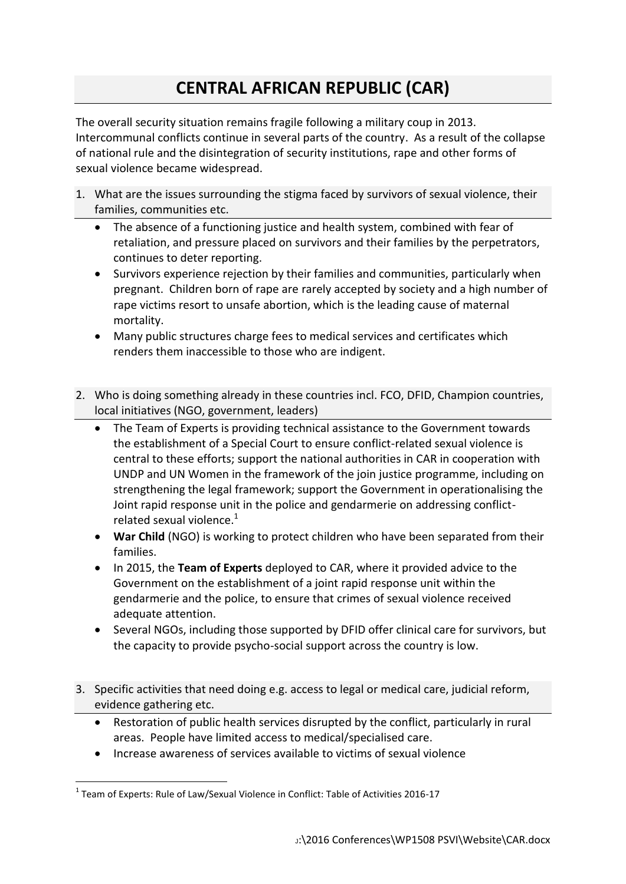## **CENTRAL AFRICAN REPUBLIC (CAR)**

The overall security situation remains fragile following a military coup in 2013. Intercommunal conflicts continue in several parts of the country. As a result of the collapse of national rule and the disintegration of security institutions, rape and other forms of sexual violence became widespread.

- 1. What are the issues surrounding the stigma faced by survivors of sexual violence, their families, communities etc.
	- The absence of a functioning justice and health system, combined with fear of retaliation, and pressure placed on survivors and their families by the perpetrators, continues to deter reporting.
	- Survivors experience rejection by their families and communities, particularly when pregnant. Children born of rape are rarely accepted by society and a high number of rape victims resort to unsafe abortion, which is the leading cause of maternal mortality.
	- Many public structures charge fees to medical services and certificates which renders them inaccessible to those who are indigent.
- 2. Who is doing something already in these countries incl. FCO, DFID, Champion countries, local initiatives (NGO, government, leaders)
	- The Team of Experts is providing technical assistance to the Government towards the establishment of a Special Court to ensure conflict-related sexual violence is central to these efforts; support the national authorities in CAR in cooperation with UNDP and UN Women in the framework of the join justice programme, including on strengthening the legal framework; support the Government in operationalising the Joint rapid response unit in the police and gendarmerie on addressing conflictrelated sexual violence. $1$
	- **War Child** (NGO) is working to protect children who have been separated from their families.
	- In 2015, the **Team of Experts** deployed to CAR, where it provided advice to the Government on the establishment of a joint rapid response unit within the gendarmerie and the police, to ensure that crimes of sexual violence received adequate attention.
	- Several NGOs, including those supported by DFID offer clinical care for survivors, but the capacity to provide psycho-social support across the country is low.
- 3. Specific activities that need doing e.g. access to legal or medical care, judicial reform, evidence gathering etc.
	- Restoration of public health services disrupted by the conflict, particularly in rural areas. People have limited access to medical/specialised care.
	- Increase awareness of services available to victims of sexual violence

<sup>1</sup>  $1$  Team of Experts: Rule of Law/Sexual Violence in Conflict: Table of Activities 2016-17